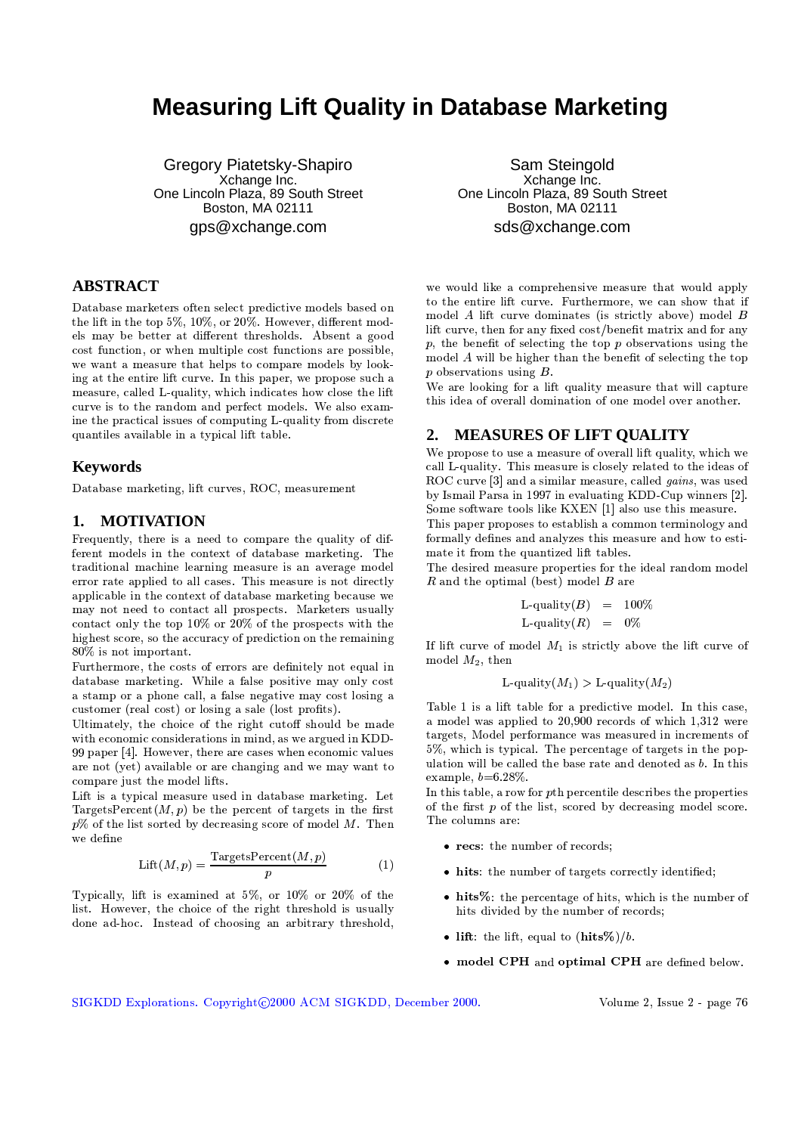# **Measuring Lift Quality in Database Marketing**

Gregory Piatetsky-Shapiro Xchange Inc. One Lincoln Plaza, 89 South Street Boston, MA 02111 qps@xchange.com

## **ABSTRACT**

Database marketers often select predictive models based on the lift in the top 5%, 10%, or 20%. However, different models may be better at different thresholds. Absent a good cost function, or when multiple cost functions are possible, we want a measure that helps to compare models by looking at the entire lift curve. In this paper, we propose such a measure, called L-quality, which indicates how close the lift curve is to the random and perfect models. We also examine the practical issues of computing L-quality from discrete quantiles available in a typical lift table.

### **Keywords**

Database marketing, lift curves, ROC, measurement

### 1. MOTIVATION

Frequently, there is a need to compare the quality of different models in the context of database marketing. The traditional machine learning measure is an average model error rate applied to all cases. This measure is not directly applicable in the context of database marketing because we may not need to contact all prospects. Marketers usually contact only the top 10% or 20% of the prospects with the highest score, so the accuracy of prediction on the remaining 80% is not important.

Furthermore, the costs of errors are definitely not equal in database marketing. While a false positive may only cost a stamp or a phone call, a false negative may cost losing a customer (real cost) or losing a sale (lost profits).

Ultimately, the choice of the right cutoff should be made with economic considerations in mind, as we argued in KDD-99 paper [4]. However, there are cases when economic values are not (yet) available or are changing and we may want to compare just the model lifts.

Lift is a typical measure used in database marketing. Let TargetsPercent $(M, p)$  be the percent of targets in the first  $p\%$  of the list sorted by decreasing score of model M. Then we define

$$
Lift(M, p) = \frac{\text{TargestPercent}(M, p)}{p} \tag{1}
$$

Typically, lift is examined at 5%, or 10% or 20% of the list. However, the choice of the right threshold is usually done ad-hoc. Instead of choosing an arbitrary threshold,

Sam Steingold Xchange Inc. One Lincoln Plaza, 89 South Street Boston, MA 02111 sds@xchange.com

we would like a comprehensive measure that would apply to the entire lift curve. Furthermore, we can show that if model  $A$  lift curve dominates (is strictly above) model  $B$ lift curve, then for any fixed cost/benefit matrix and for any  $p$ , the benefit of selecting the top  $p$  observations using the model  $A$  will be higher than the benefit of selecting the top  $p$  observations using  $B$ .

We are looking for a lift quality measure that will capture this idea of overall domination of one model over another.

#### **MEASURES OF LIFT OUALITY**  $2.$

We propose to use a measure of overall lift quality, which we call L-quality. This measure is closely related to the ideas of ROC curve [3] and a similar measure, called *gains*, was used by Ismail Parsa in 1997 in evaluating KDD-Cup winners [2]. Some software tools like KXEN [1] also use this measure.

This paper proposes to establish a common terminology and formally defines and analyzes this measure and how to estimate it from the quantized lift tables.

The desired measure properties for the ideal random model  $R$  and the optimal (best) model  $B$  are

If lift curve of model  $M_1$  is strictly above the lift curve of model  $M_2$ , then

L-quality
$$
(M_1)
$$
 > L-quality $(M_2)$ 

Table 1 is a lift table for a predictive model. In this case, a model was applied to 20,900 records of which 1,312 were targets, Model performance was measured in increments of 5%, which is typical. The percentage of targets in the population will be called the base rate and denoted as b. In this example,  $b=6.28\%$ .

In this table, a row for pth percentile describes the properties of the first  $p$  of the list, scored by decreasing model score. The columns are:

- recs: the number of records;
- hits: the number of targets correctly identified;
- $\bullet$  hits%: the percentage of hits, which is the number of hits divided by the number of records:
- lift: the lift, equal to  $(hits\%)/b$ .
- model CPH and optimal CPH are defined below.

SIGKDD Explorations. Copyright@2000 ACM SIGKDD, December 2000.

Volume 2, Issue 2 - page 76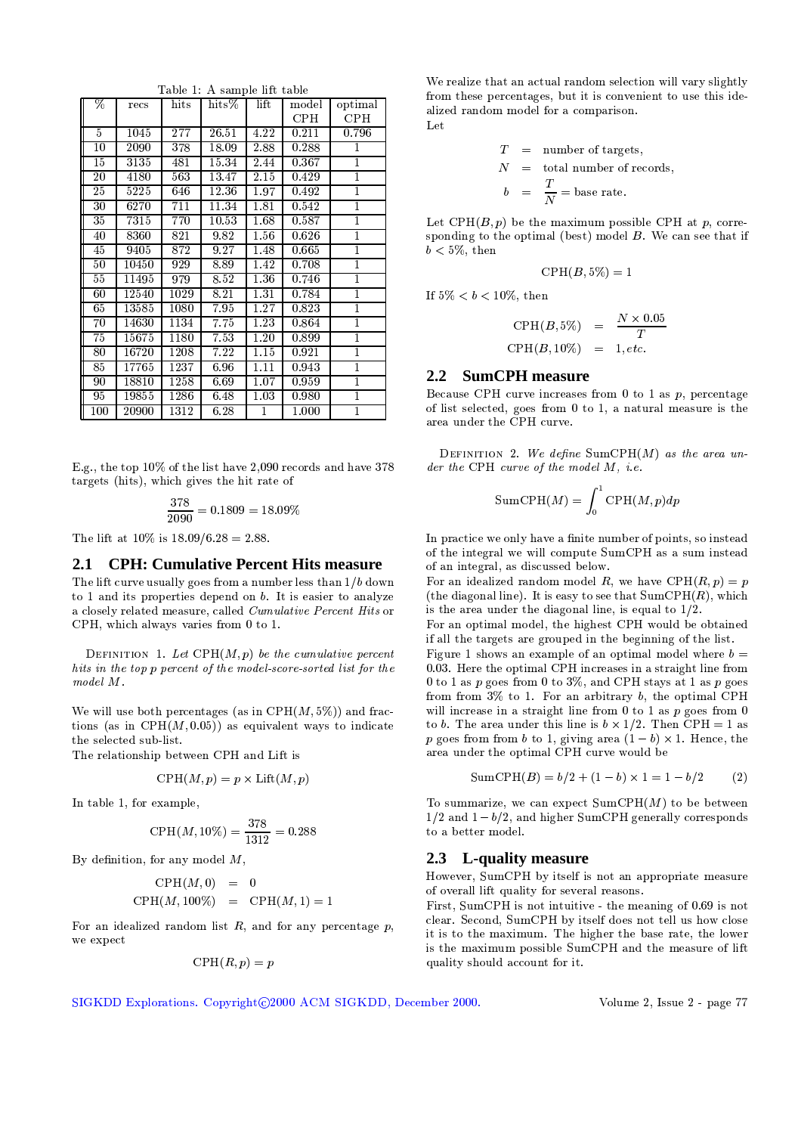| %               | recs  | $_{\rm hits}$    | $_{\rm hits\%}$ | $_{\mathrm{lift}}$ | $_{\rm model}$      | optimal    |
|-----------------|-------|------------------|-----------------|--------------------|---------------------|------------|
|                 |       |                  |                 |                    | <b>CPH</b>          | <b>CPH</b> |
| 5               | 1045  | 277              | 26.51           | 4.22               | 0.211               | 0.796      |
| 10              | 2090  | 378              | 18.09           | 2.88               | 0.288               | 1          |
| 15              | 3135  | 481              | 15.34           | 2.44               | 0.367               | 1          |
| $\overline{2}0$ | 4180  | 563              | 13.47           | 2.15               | 0.429               | 1          |
| 25              | 5225  | 646              | 12.36           | $\overline{1}.97$  | $\overline{0}$ .492 | 1          |
| 30              | 6270  | 711              | 11.34           | 1.81               | 0.542               | 1          |
| 35              | 7315  | 770              | 10.53           | 1.68               | 0.587               | 1          |
| 40              | 8360  | $\overline{821}$ | 9.82            | 1.56               | 0.626               | 1          |
| 45              | 9405  | 872              | 9.27            | 1.48               | 0.665               | 1          |
| 50              | 10450 | 929              | 8.89            | 1.42               | 0.708               | 1          |
| 55              | 11495 | 979              | 8.52            | 1.36               | 0.746               | 1          |
| 60              | 12540 | 1029             | 8.21            | 1.31               | 0.784               | 1          |
| 65              | 13585 | 1080             | 7.95            | 1.27               | 0.823               | 1          |
| 70              | 14630 | 1134             | 7.75            | 1.23               | 0.864               | ī          |
| 75              | 15675 | 1180             | 7.53            | 1.20               | 0.899               | 1          |
| 80              | 16720 | 1208             | 7.22            | 1.15               | 0.921               | 1          |
| 85              | 17765 | 1237             | 6.96            | 1.11               | 0.943               | 1          |
| 90              | 18810 | 1258             | 6.69            | 1.07               | 0.959               | 1          |
| 95              | 19855 | 1286             | 6.48            | 1.03               | 0.980               | 1          |
| $100\,$         | 20900 | 1312             | 6.28            | 1                  | $1.000\,$           | 1          |

Table 1: A sample lift table

E.g., the top 10% of the list have 2,090 records and have 378 targets (hits), which gives the hit rate of

$$
\frac{378}{2090} = 0.1809 = 18.09\%
$$

The lift at  $10\%$  is  $18.09/6.28 = 2.88$ .

### 2.1 CPH: Cumulative Percent Hits measure

The lift curve usually goes from a number less than  $1/b$  down to 1 and its properties depend on  $b$ . It is easier to analyze a closely related measure, called Cumulative Percent Hits or CPH, which always varies from 0 to 1.

DEFINITION 1. Let  $\text{CPH}(M, p)$  be the cumulative percent hits in the top p percent of the model-score-sorted list for the  $model$   $M$ .

We will use both percentages (as in  $\mathrm{CPH}(M,5\%)$ ) and fractions (as in  $\text{CPH}(M, 0.05)$ ) as equivalent ways to indicate the selected sub-list.

The relationship between CPH and Lift is

$$
\mathrm{CPH}(M,p) = p \times \mathrm{Lift}(M,p)
$$

In table 1, for example,

$$
CPH(M, 10\%) = \frac{378}{1312} = 0.288
$$

By definition, for any model  $M$ ,

$$
\begin{array}{rcl}\n\text{CPH}(M,0) & = & 0 \\
\text{CPH}(M,100\%) & = & \text{CPH}(M,1) = 1\n\end{array}
$$

For an idealized random list  $R$ , and for any percentage  $p$ , we expect

$$
\mathrm{CPH}(R,p) = p
$$

We realize that an actual random selection will vary slightly from these percentages, but it is convenient to use this idealized random model for a comparison. Let

$$
T = number of targets,N = total number of records,b =  $\frac{T}{N}$  = base rate.
$$

Let  $\text{CPH}(B, p)$  be the maximum possible CPH at p, corresponding to the optimal (best) model  $B$ . We can see that if  $b < 5\%$ , then

$$
\mathrm{CPH}(B,5\%)=1
$$

If 
$$
5\% < b < 10\%
$$
, then

$$
\text{CPH}(B, 5\%) = \frac{N \times 0.05}{T}
$$
  

$$
\text{CPH}(B, 10\%) = 1, etc.
$$

# 2.2 SumCPH measure

Because CPH curve increases from 0 to 1 as  $p$ , percentage of list selected, goes from  $0$  to 1, a natural measure is the area under the CPH curve.

DEFINITION 2. We define  $SumCPH(M)$  as the area under the CPH curve of the model  $M$ , i.e.

$$
SumCPH(M) = \int_0^1 \text{CPH}(M, p) dp
$$

In practice we only have a finite number of points, so instead of the integral we will compute SumCPH as a sum instead of an integral, as discussed below.

For an idealized random model R, we have CPH $(R, p) = p$ (the diagonal line). It is easy to see that  $SumCPH(R)$ , which is the area under the diagonal line, is equal to  $1/2$ .

For an optimal model, the highest CPH would be obtained if all the targets are grouped in the beginning of the list.

Figure 1 shows an example of an optimal model where  $b=$ 0.03. Here the optimal CPH increases in a straight line from 0 to 1 as p goes from 0 to 3%, and CPH stays at 1 as p goes from from  $3\%$  to 1. For an arbitrary b, the optimal CPH will increase in a straight line from 0 to 1 as  $p$  goes from 0 to b. The area under this line is  $b \times 1/2$ . Then CPH = 1 as p goes from from b to 1, giving area  $(1-b) \times 1$ . Hence, the area under the optimal CPH curve would be

SumCPH(B) = 
$$
b/2 + (1 - b) \times 1 = 1 - b/2
$$
 (2)

To summarize, we can expect  $SumCPH(M)$  to be between  $1/2$  and  $1-b/2$ , and higher SumCPH generally corresponds to a better model.

### 2.3 L-quality measure

However, SumCPH by itself is not an appropriate measure of overall lift quality for several reasons.

First, SumCPH is not intuitive - the meaning of 0.69 is not clear. Second, SumCPH by itself does not tell us how close it is to the maximum. The higher the base rate, the lower is the maximum possible SumCPH and the measure of lift quality should account for it.

SIGKDD Explorations. Copyright@2000 ACM SIGKDD, December 2000.

Volume 2, Issue 2 - page 77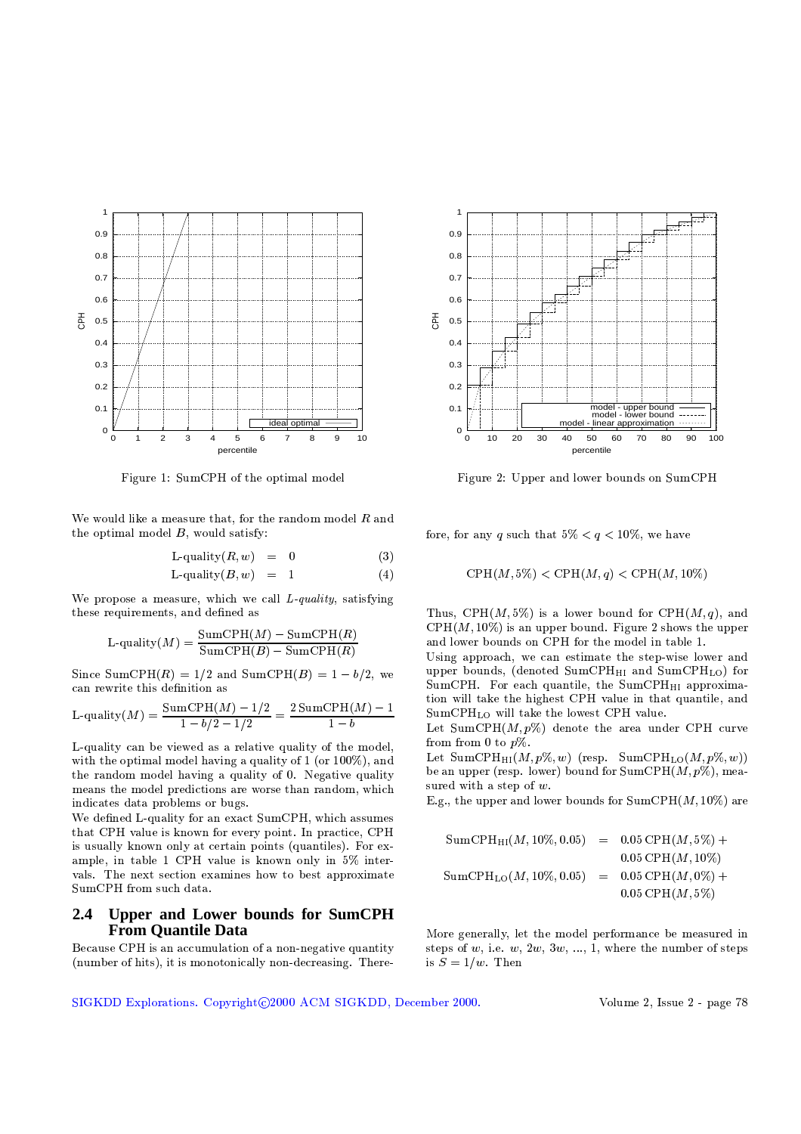

Figure 1: SumCPH of the optimal model

We would like a measure that, for the random model  $R$  and the optimal model  $B$ , would satisfy:

$$
L\text{-quality}(R, w) = 0 \tag{3}
$$

$$
L\text{-quality}(B, w) = 1 \tag{4}
$$

We propose a measure, which we call  $L$ -quality, satisfying these requirements, and defined as

$$
L\text{-quality}(M) = \frac{\text{SumCPH}(M) - \text{SumCPH}(R)}{\text{SumCPH}(B) - \text{SumCPH}(R)}
$$

Since SumCPH(R) =  $1/2$  and SumCPH(B) =  $1 - b/2$ , we can rewrite this definition as

L-quality
$$
(M)
$$
 =  $\frac{\text{SumCPH}(M) - 1/2}{1 - b/2 - 1/2} = \frac{2 \text{SumCPH}(M) - 1}{1 - b}$ 

L-quality can be viewed as a relative quality of the model. with the optimal model having a quality of 1 (or 100%), and the random model having a quality of 0. Negative quality means the model predictions are worse than random, which indicates data problems or bugs.

We defined L-quality for an exact SumCPH, which assumes that CPH value is known for every point. In practice, CPH is usually known only at certain points (quantiles). For example, in table 1 CPH value is known only in 5% intervals. The next section examines how to best approximate SumCPH from such data.

### Upper and Lower bounds for SumCPH  $2.4$ **From Quantile Data**

Because CPH is an accumulation of a non-negative quantity (number of hits), it is monotonically non-decreasing. There-



Figure 2: Upper and lower bounds on SumCPH

fore, for any q such that  $5\% < q < 10\%$ , we have

$$
CPH(M, 5\%) < CPH(M, q) < CPH(M, 10\%)
$$

Thus, CPH $(M, 5\%)$  is a lower bound for CPH $(M, q)$ , and  $\text{CPH}(M, 10\%)$  is an upper bound. Figure 2 shows the upper and lower bounds on CPH for the model in table 1.

Using approach, we can estimate the step-wise lower and upper bounds, (denoted SumCPH<sub>HI</sub> and SumCPH<sub>LO</sub>) for SumCPH. For each quantile, the SumCPH<sub>HI</sub> approximation will take the highest CPH value in that quantile, and SumCPH<sub>LO</sub> will take the lowest CPH value.

Let SumCPH $(M, p\%)$  denote the area under CPH curve from from 0 to  $p\%$ .

Let SumCPH<sub>HI</sub> $(M, p\%, w)$  (resp. SumCPH<sub>LO</sub> $(M, p\%, w)$ ) be an upper (resp. lower) bound for  $SumCPH(M, p\%)$ , measured with a step of  $w$ .

E.g., the upper and lower bounds for  $SumCPH(M, 10\%)$  are

More generally, let the model performance be measured in steps of  $w$ , i.e.  $w$ ,  $2w$ ,  $3w$ , ..., 1, where the number of steps is  $S = 1/w$ . Then

SIGKDD Explorations. Copyright@2000 ACM SIGKDD, December 2000.

Volume 2, Issue 2 - page 78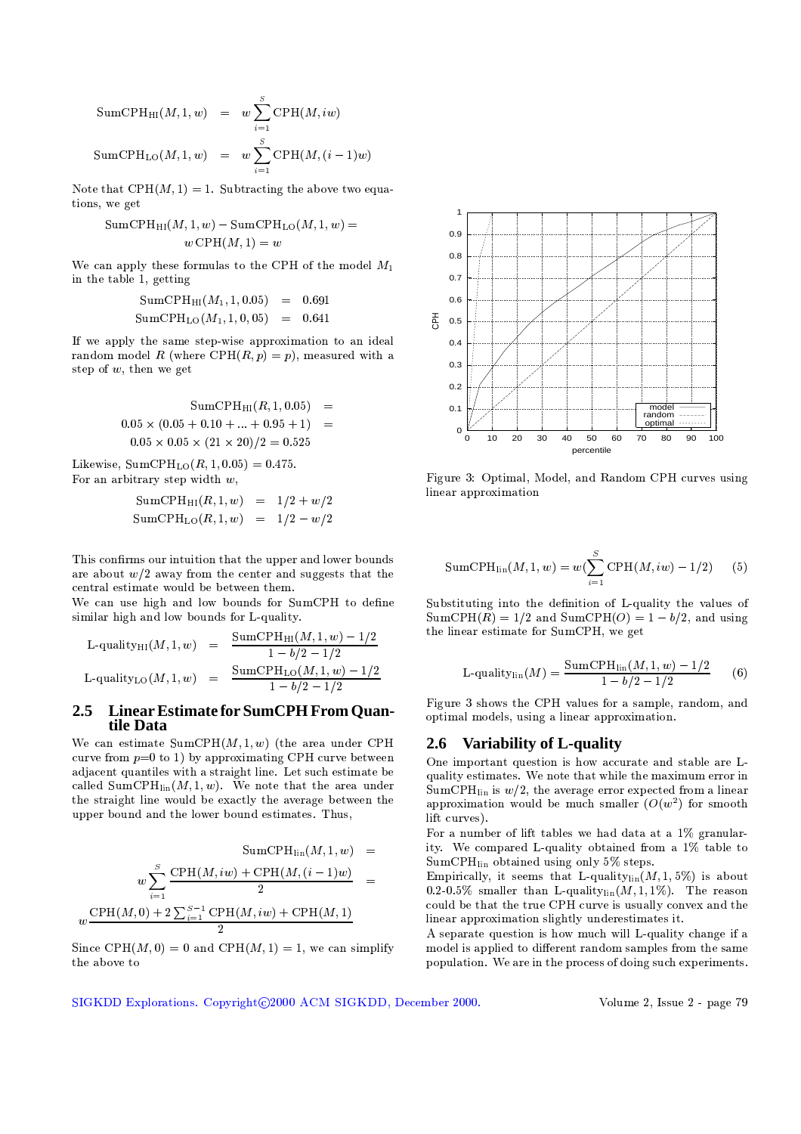SumCPH<sub>HI</sub>
$$
(M, 1, w)
$$
 =  $w \sum_{i=1}^{S} \text{CPH}(M, iw)$   
\nSumCPH<sub>LO</sub> $(M, 1, w)$  =  $w \sum_{i=1}^{S} \text{CPH}(M, (i-1)w)$ 

Note that CPH $(M, 1) = 1$ . Subtracting the above two equations, we get

$$
SumCPH_{\text{HI}}(M, 1, w) - SumCPH_{\text{LO}}(M, 1, w)
$$

$$
w \text{CPH}(M, 1) = w
$$

 $\overline{\phantom{a}}$ 

We can apply these formulas to the CPH of the model  $M_1$ in the table 1, getting

$$
SumCPHHI(M1, 1, 0.05) = 0.691
$$
  
\n
$$
SumCPHLO(M1, 1, 0, 05) = 0.641
$$

If we apply the same step-wise approximation to an ideal random model R (where CPH(R, p) = p), measured with a step of  $w$ , then we get

$$
SumCPHHI(R, 1, 0.05) = 0.05 \times (0.05 + 0.10 + ... + 0.95 + 1) = 0.05 \times 0.05 \times (21 \times 20)/2 = 0.525
$$

Likewise,  $SumCPH_{LO}(R, 1, 0.05) = 0.475$ . For an arbitrary step width  $w$ ,

> $SumCPH_{HI}(R, 1, w) = 1/2 + w/2$ SumCPH<sub>LO</sub> $(R, 1, w) = 1/2 - w/2$

This confirms our intuition that the upper and lower bounds are about  $w/2$  away from the center and suggests that the central estimate would be between them.

We can use high and low bounds for SumCPH to define similar high and low bounds for L-quality.

$$
\begin{array}{rcl}\n\text{L-quality}_{\text{HI}}(M, 1, w) & = & \frac{\text{SumCPH}_{\text{HI}}(M, 1, w) - 1/2}{1 - b/2 - 1/2} \\
\text{L-quality}_{\text{LO}}(M, 1, w) & = & \frac{\text{SumCPH}_{\text{LO}}(M, 1, w) - 1/2}{1 - b/2 - 1/2}\n\end{array}
$$

### $2.5$ Linear Estimate for SumCPH From Quantile Data

We can estimate  $SumCPH(M, 1, w)$  (the area under CPH curve from  $p=0$  to 1) by approximating CPH curve between adjacent quantiles with a straight line. Let such estimate be called SumCPH<sub>lin</sub> $(M, 1, w)$ . We note that the area under the straight line would be exactly the average between the upper bound and the lower bound estimates. Thus,

$$
SumCPHlin(M, 1, w) = w \sum_{i=1}^{S} \frac{CPH(M, iw) + CPH(M, (i-1)w)}{2} = w \frac{CPH(M, 0) + 2 \sum_{i=1}^{S-1} CPH(M, iw) + CPH(M, 1)}{2}
$$

Since CPH $(M, 0) = 0$  and CPH $(M, 1) = 1$ , we can simplify the above to



Figure 3: Optimal, Model, and Random CPH curves using linear approximation

SumCPH<sub>lin</sub>
$$
(M, 1, w) = w(\sum_{i=1}^{S} \text{CPH}(M, iw) - 1/2)
$$
 (5)

Substituting into the definition of L-quality the values of  $SumCPH(R) = 1/2$  and  $SumCPH(O) = 1 - b/2$ , and using the linear estimate for SumCPH, we get

$$
L\text{-quality}_{\text{lin}}(M) = \frac{\text{SumCPH}_{\text{lin}}(M, 1, w) - 1/2}{1 - b/2 - 1/2} \tag{6}
$$

Figure 3 shows the CPH values for a sample, random, and optimal models, using a linear approximation.

### 2.6 Variability of L-quality

One important question is how accurate and stable are Lquality estimates. We note that while the maximum error in  $SumCPH_{lin}$  is  $w/2$ , the average error expected from a linear approximation would be much smaller  $(O(w^2))$  for smooth lift curves).

For a number of lift tables we had data at a 1% granularity. We compared L-quality obtained from a 1% table to SumCPH<sub>lin</sub> obtained using only 5% steps.

Empirically, it seems that L-quality<sub>lin</sub> $(M, 1, 5\%)$  is about 0.2-0.5% smaller than L-quality $_{lin}(M, 1, 1\%)$ . The reason could be that the true CPH curve is usually convex and the linear approximation slightly underestimates it.

A separate question is how much will L-quality change if a model is applied to different random samples from the same population. We are in the process of doing such experiments.

SIGKDD Explorations. Copyright@2000 ACM SIGKDD, December 2000.